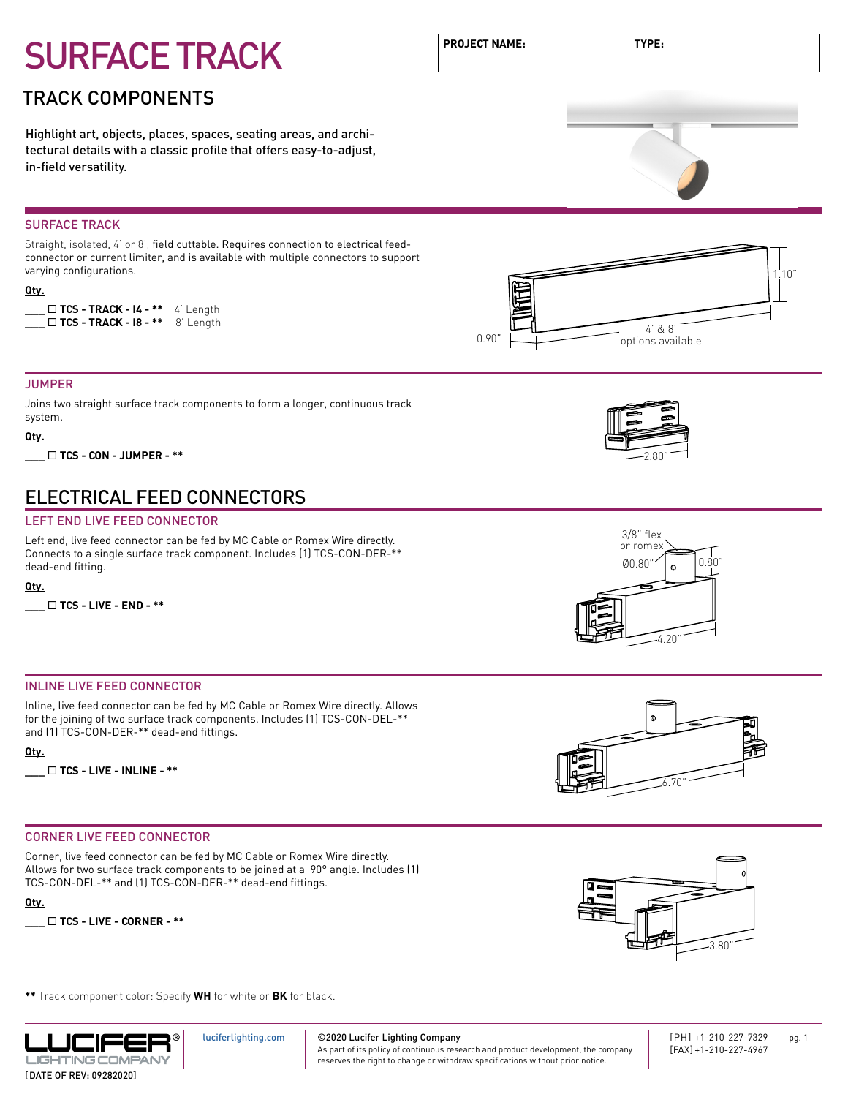### TRACK COMPONENTS

Highlight art, objects, places, spaces, seating areas, and architectural details with a classic profile that offers easy-to-adjust, in-field versatility.

#### SURFACE TRACK

Straight, isolated, 4' or 8', field cuttable. Requires connection to electrical feedconnector or current limiter, and is available with multiple connectors to support varying configurations.

#### **Qty.**

**\_\_\_** ¨ **TCS - TRACK - I4 - \*\*** 4' Length

#### JUMPER

Joins two straight surface track components to form a longer, continuous track system.

#### **Qty.**

**\_\_\_** ¨ **TCS - CON - JUMPER - \*\*** 2.80"

### ELECTRICAL FEED CONNECTORS

#### LEFT END LIVE FEED CONNECTOR

Left end, live feed connector can be fed by MC Cable or Romex Wire directly. Connects to a single surface track component. Includes (1) TCS-CON-DER-\*\* dead-end fitting.

#### **Qty.**

**\_\_\_** ¨ **TCS - LIVE - END - \*\***

#### INLINE LIVE FEED CONNECTOR

Inline, live feed connector can be fed by MC Cable or Romex Wire directly. Allows for the joining of two surface track components. Includes (1) TCS-CON-DEL-\*\* and (1) TCS-CON-DER-\*\* dead-end fittings.

#### **Qty.**

**\_\_\_** ¨ **TCS - LIVE - INLINE - \*\***

#### CORNER LIVE FEED CONNECTOR

Corner, live feed connector can be fed by MC Cable or Romex Wire directly. Allows for two surface track components to be joined at a 90° angle. Includes (1) TCS-CON-DEL-\*\* and (1) TCS-CON-DER-\*\* dead-end fittings.

**Qty.**



**\*\*** Track component color: Specify **WH** for white or **BK** for black.



[luciferlighting.com](http://luciferlighting.com/)

©2020 Lucifer Lighting Company

As part of its policy of continuous research and product development, the company

[PH] +1-210-227-7329 pg. 1 [FAX] +1-210-227-4967

3.80"

**PROJECT NAME: TYPE:**









reserves the right to change or withdraw specifications without prior notice.

options available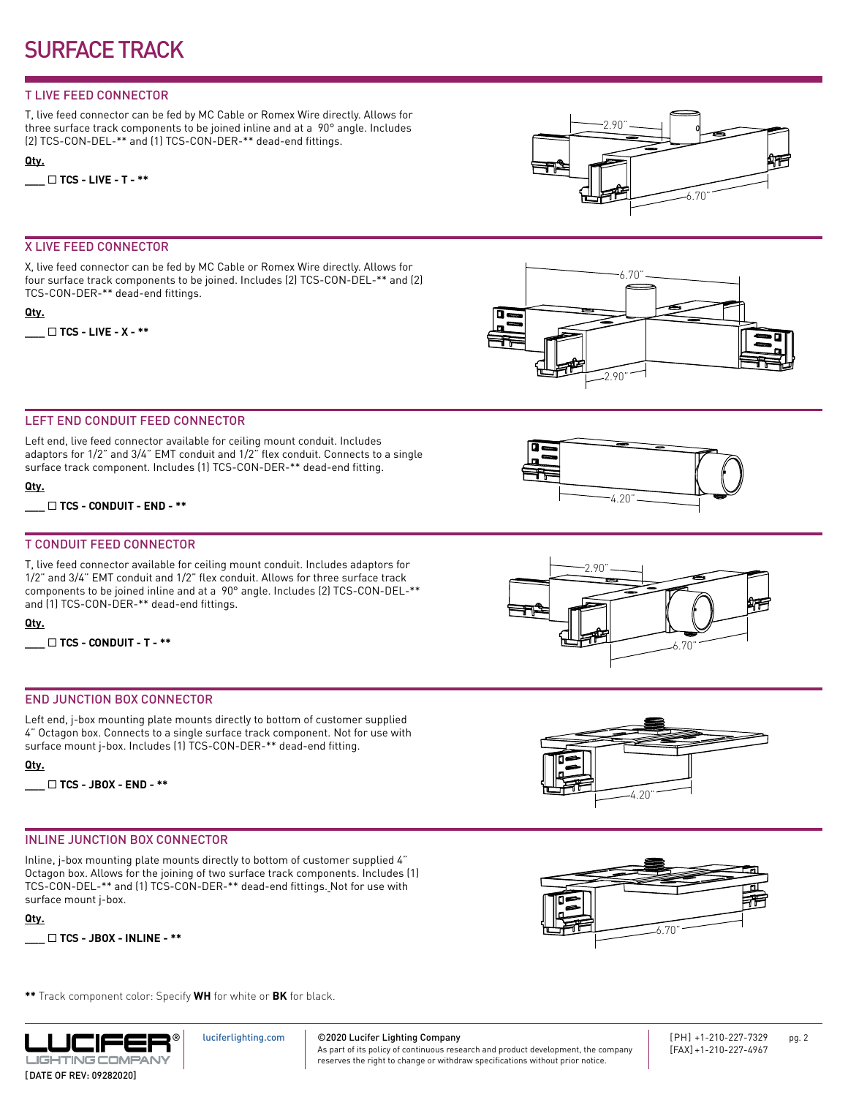#### T LIVE FEED CONNECTOR

T, live feed connector can be fed by MC Cable or Romex Wire directly. Allows for three surface track components to be joined inline and at a 90° angle. Includes (2) TCS-CON-DEL-\*\* and (1) TCS-CON-DER-\*\* dead-end fittings.

#### **Qty.**

**\_\_\_** ¨ **TCS - LIVE - T - \*\***

#### X LIVE FEED CONNECTOR

X, live feed connector can be fed by MC Cable or Romex Wire directly. Allows for four surface track components to be joined. Includes (2) TCS-CON-DEL-\*\* and (2) TCS-CON-DER-\*\* dead-end fittings.

#### **Qty.**

**\_\_\_** ¨ **TCS - LIVE - X - \*\***





#### LEFT END CONDUIT FEED CONNECTOR

Left end, live feed connector available for ceiling mount conduit. Includes adaptors for 1/2" and 3/4" EMT conduit and 1/2" flex conduit. Connects to a single surface track component. Includes (1) TCS-CON-DER-\*\* dead-end fitting.

**Qty.**

**\_\_\_** ¨ **TCS - CONDUIT - END - \*\***

#### T CONDUIT FEED CONNECTOR

T, live feed connector available for ceiling mount conduit. Includes adaptors for 1/2" and 3/4" EMT conduit and 1/2" flex conduit. Allows for three surface track components to be joined inline and at a 90° angle. Includes (2) TCS-CON-DEL-\*\* and (1) TCS-CON-DER-\*\* dead-end fittings.

#### **Qty.**

**\_\_\_** ¨ **TCS - CONDUIT - T - \*\***

#### END JUNCTION BOX CONNECTOR

Left end, j-box mounting plate mounts directly to bottom of customer supplied 4" Octagon box. Connects to a single surface track component. Not for use with surface mount j-box. Includes (1) TCS-CON-DER-\*\* dead-end fitting.



**\_\_\_** ¨ **TCS - JBOX - END - \*\***

#### INLINE JUNCTION BOX CONNECTOR

Inline, j-box mounting plate mounts directly to bottom of customer supplied 4" Octagon box. Allows for the joining of two surface track components. Includes (1) TCS-CON-DEL-\*\* and (1) TCS-CON-DER-\*\* dead-end fittings. Not for use with surface mount j-box.

**Qty.**







6.70"





**\*\*** Track component color: Specify **WH** for white or **BK** for black.



[luciferlighting.com](http://luciferlighting.com/)

As part of its policy of continuous research and product development, the company

[PH] +1-210-227-7329 pg. 2 [FAX] +1-210-227-4967

©2020 Lucifer Lighting Company

reserves the right to change or withdraw specifications without prior notice.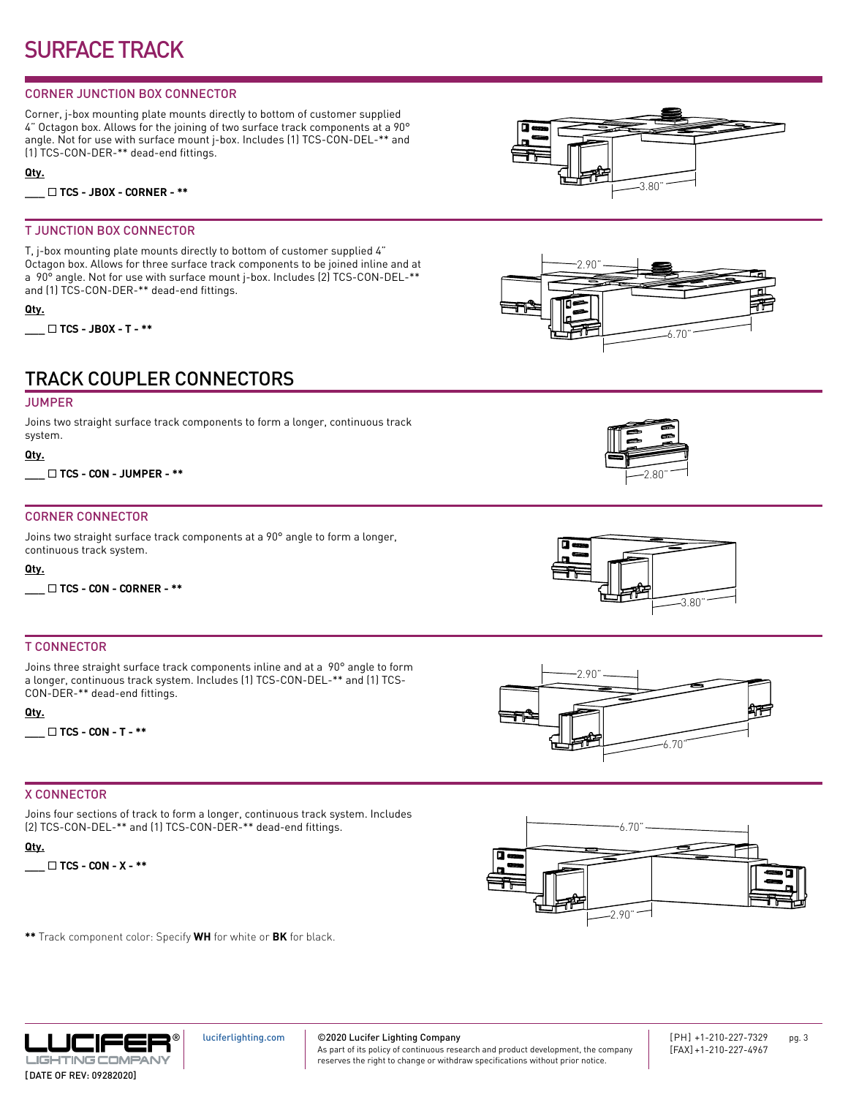#### CORNER JUNCTION BOX CONNECTOR

Corner, j-box mounting plate mounts directly to bottom of customer supplied 4" Octagon box. Allows for the joining of two surface track components at a 90° angle. Not for use with surface mount j-box. Includes (1) TCS-CON-DEL-\*\* and (1) TCS-CON-DER-\*\* dead-end fittings.

**Qty.**

**\_\_\_** ¨ **TCS - JBOX - CORNER - \*\***

#### T JUNCTION BOX CONNECTOR

T, j-box mounting plate mounts directly to bottom of customer supplied 4" Octagon box. Allows for three surface track components to be joined inline and at a 90° angle. Not for use with surface mount j-box. Includes (2) TCS-CON-DEL-\*\* and (1) TCS-CON-DER-\*\* dead-end fittings.

#### **Qty.**

**\_\_\_** ¨ **TCS - JBOX - T - \*\***

## TRACK COUPLER CONNECTORS

#### JUMPER

Joins two straight surface track components to form a longer, continuous track system.

#### **Qty.**

**\_\_\_** ¨ **TCS - CON - JUMPER - \*\***

#### CORNER CONNECTOR

Joins two straight surface track components at a 90° angle to form a longer, continuous track system.

#### **Qty.**

**\_\_\_** ¨ **TCS - CON - CORNER - \*\***

#### T CONNECTOR

Joins three straight surface track components inline and at a 90° angle to form a longer, continuous track system. Includes (1) TCS-CON-DEL-\*\* and (1) TCS-CON-DER-\*\* dead-end fittings.

#### **Qty.**

**\_\_\_** ¨ **TCS - CON - T - \*\***

#### X CONNECTOR

Joins four sections of track to form a longer, continuous track system. Includes (2) TCS-CON-DEL-\*\* and (1) TCS-CON-DER-\*\* dead-end fittings.

#### **Qty.**

**\_\_\_** ¨ **TCS - CON - X - \*\***

**\*\*** Track component color: Specify **WH** for white or **BK** for black.

3.80"













[luciferlighting.com](http://luciferlighting.com/)

©2020 Lucifer Lighting Company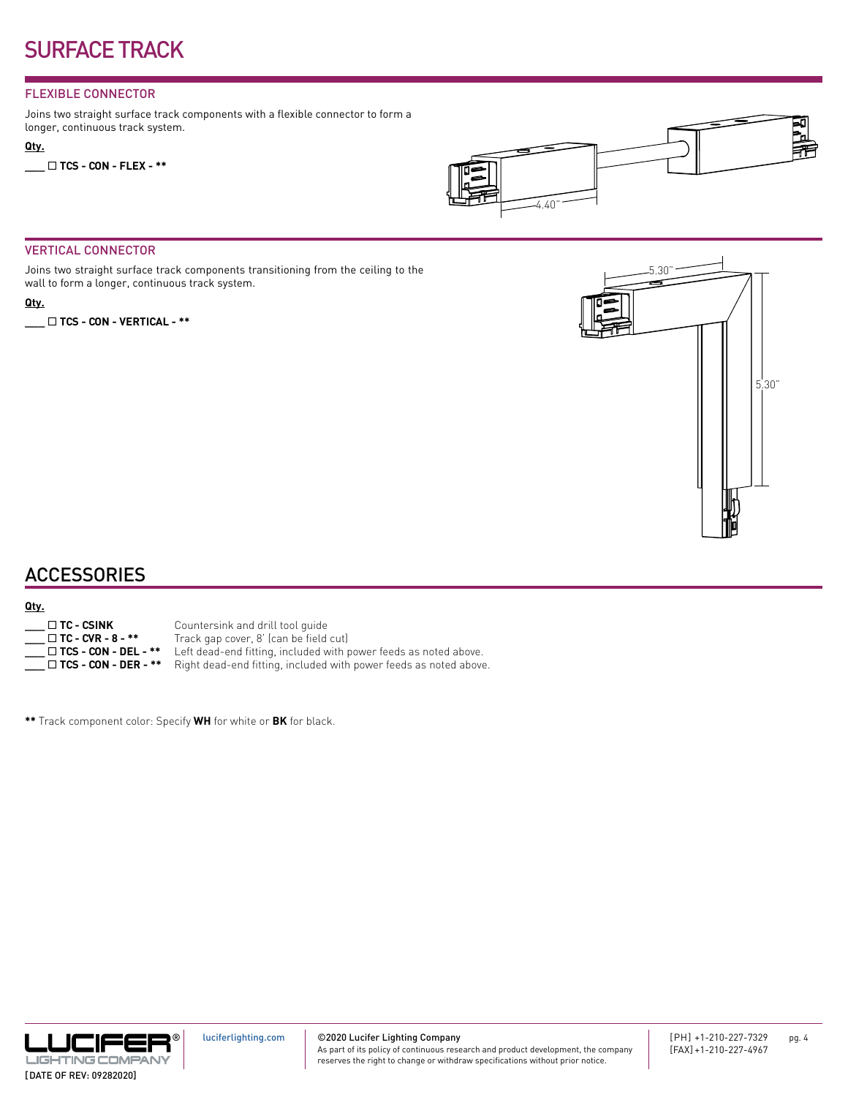#### FLEXIBLE CONNECTOR

Joins two straight surface track components with a flexible connector to form a longer, continuous track system.

#### **Qty.**

**\_\_\_** ¨ **TCS - CON - FLEX - \*\***



#### VERTICAL CONNECTOR

Joins two straight surface track components transitioning from the ceiling to the wall to form a longer, continuous track system.

#### **Qty.**

**\_\_\_** ¨ **TCS - CON - VERTICAL - \*\***



### **ACCESSORIES**

#### **Qty.**

| $\Box$ TC - CSINK           |
|-----------------------------|
| $\Box$ TC - CVR - 8 - **    |
| $\Box$ TCS - CON - DEL - ** |
| $\Box$ TCS - CON - DER - ** |

Countersink and drill tool guide

Track gap cover, 8' (can be field cut)

- Left dead-end fitting, included with power feeds as noted above.
- Right dead-end fitting, included with power feeds as noted above.

**\*\*** Track component color: Specify **WH** for white or **BK** for black.



©2020 Lucifer Lighting Company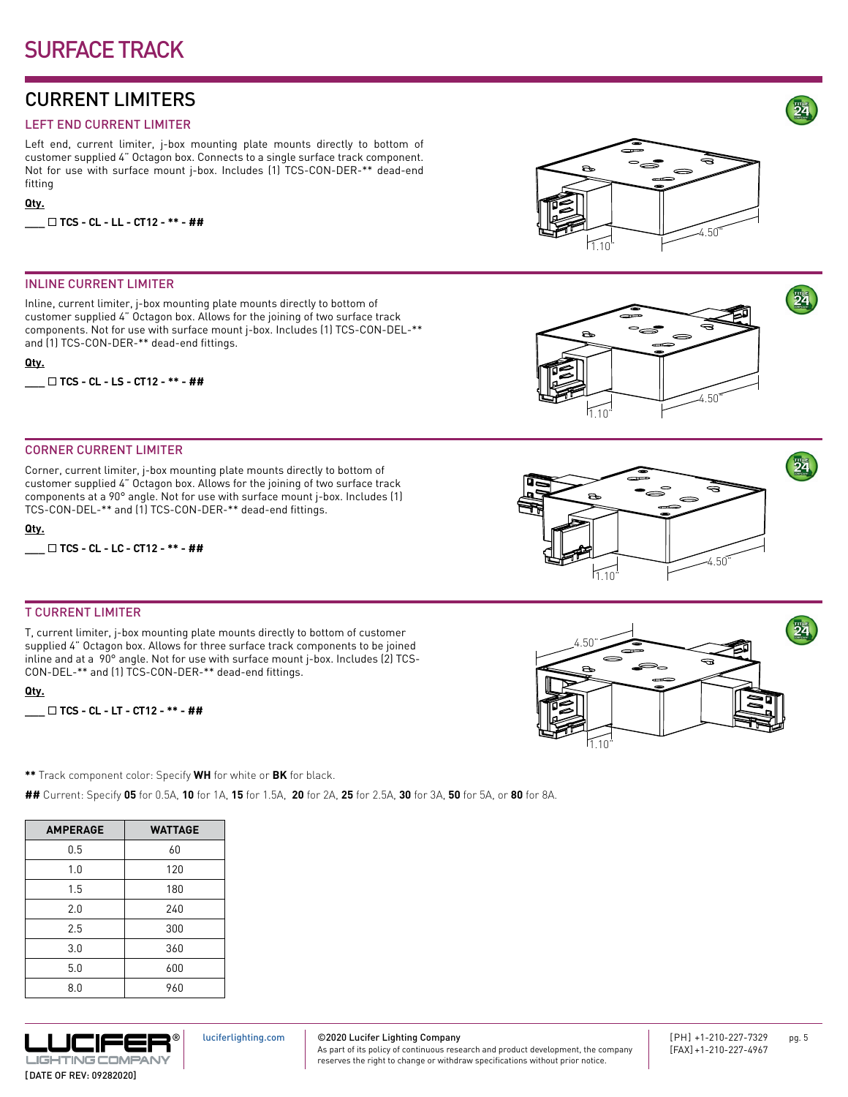### CURRENT LIMITERS

#### LEFT END CURRENT LIMITER

Left end, current limiter, j-box mounting plate mounts directly to bottom of customer supplied 4" Octagon box. Connects to a single surface track component. Not for use with surface mount j-box. Includes (1) TCS-CON-DER-\*\* dead-end fitting

#### **Qty.**

**\_\_\_** ¨ **TCS - CL - LL - CT12 - \*\* - ##**

#### INLINE CURRENT LIMITER

Inline, current limiter, j-box mounting plate mounts directly to bottom of customer supplied 4" Octagon box. Allows for the joining of two surface track components. Not for use with surface mount j-box. Includes (1) TCS-CON-DEL-\*\* and (1) TCS-CON-DER-\*\* dead-end fittings.

#### **Qty.**

**\_\_\_** ¨ **TCS - CL - LS - CT12 - \*\* - ##**

#### CORNER CURRENT LIMITER

Corner, current limiter, j-box mounting plate mounts directly to bottom of customer supplied 4" Octagon box. Allows for the joining of two surface track components at a 90° angle. Not for use with surface mount j-box. Includes (1) TCS-CON-DEL-\*\* and (1) TCS-CON-DER-\*\* dead-end fittings.

#### **Qty.**

**\_\_\_** ¨ **TCS - CL - LC - CT12 - \*\* - ##**

#### T CURRENT LIMITER

T, current limiter, j-box mounting plate mounts directly to bottom of customer supplied 4" Octagon box. Allows for three surface track components to be joined inline and at a 90° angle. Not for use with surface mount j-box. Includes (2) TCS-CON-DEL-\*\* and (1) TCS-CON-DER-\*\* dead-end fittings.

**Qty.**

```
___ ¨ TCS - CL - LT - CT12 - ** - ##
```
**\*\*** Track component color: Specify **WH** for white or **BK** for black.

**##** Current: Specify **05** for 0.5A, **10** for 1A, **15** for 1.5A, **20** for 2A, **25** for 2.5A, **30** for 3A, **50** for 5A, or **80** for 8A.

| <b>AMPERAGE</b> | <b>WATTAGE</b> |
|-----------------|----------------|
| 0.5             | 60             |
| 1.0             | 120            |
| 1.5             | 180            |
| 2.0             | 240            |
| 2.5             | 300            |
| 3.0             | 360            |
| 5.0             | 600            |
| 8.0             | 960            |



[luciferlighting.com](http://luciferlighting.com/)

©2020 Lucifer Lighting Company

As part of its policy of continuous research and product development, the company reserves the right to change or withdraw specifications without prior notice.



 $\rightarrow$ 









24

24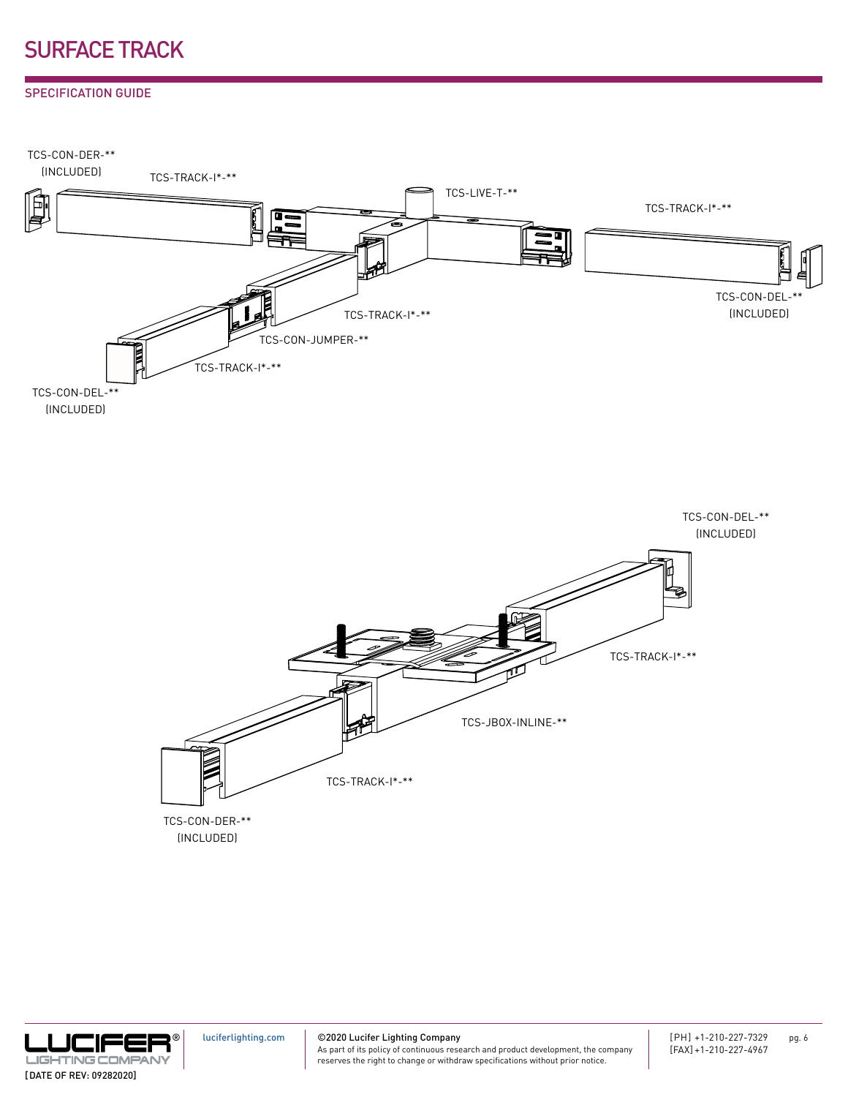#### SPECIFICATION GUIDE





® .UCIFEI **LIGHTING COMPAN** [DATE OF REV: 09282020]

[luciferlighting.com](http://luciferlighting.com/)

©2020 Lucifer Lighting Company